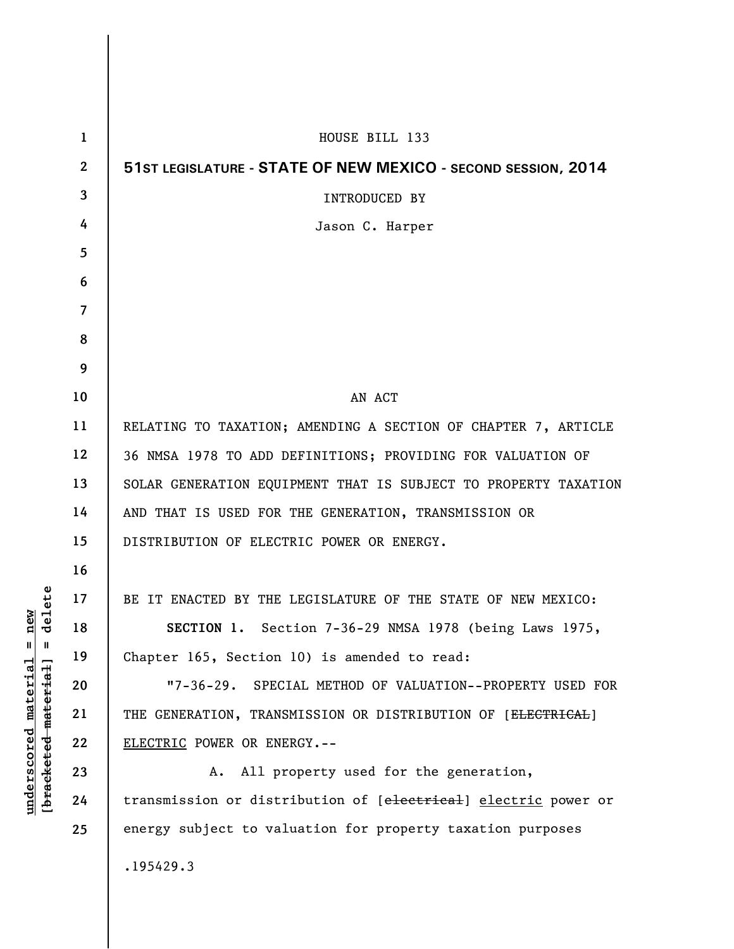| $\mathbf{1}$            | HOUSE BILL 133                                                            |
|-------------------------|---------------------------------------------------------------------------|
| $\mathbf{2}$            | 51ST LEGISLATURE - STATE OF NEW MEXICO - SECOND SESSION, 2014             |
| 3                       | <b>INTRODUCED BY</b>                                                      |
| 4                       | Jason C. Harper                                                           |
| 5                       |                                                                           |
| 6                       |                                                                           |
| $\overline{\mathbf{z}}$ |                                                                           |
| 8                       |                                                                           |
| 9                       |                                                                           |
| 10                      | AN ACT                                                                    |
| 11                      | RELATING TO TAXATION; AMENDING A SECTION OF CHAPTER 7, ARTICLE            |
| 12                      | 36 NMSA 1978 TO ADD DEFINITIONS; PROVIDING FOR VALUATION OF               |
| 13                      | SOLAR GENERATION EQUIPMENT THAT IS SUBJECT TO PROPERTY TAXATION           |
| 14                      | AND THAT IS USED FOR THE GENERATION, TRANSMISSION OR                      |
| 15                      | DISTRIBUTION OF ELECTRIC POWER OR ENERGY.                                 |
| 16                      |                                                                           |
| 17                      | BE IT ENACTED BY THE LEGISLATURE OF THE STATE OF NEW MEXICO:              |
| 18                      | SECTION 1. Section 7-36-29 NMSA 1978 (being Laws 1975,                    |
| 19                      | Chapter 165, Section 10) is amended to read:                              |
| 20                      | "7-36-29. SPECIAL METHOD OF VALUATION--PROPERTY USED FOR                  |
| 21                      | THE GENERATION, TRANSMISSION OR DISTRIBUTION OF [ <del>ELECTRICAL</del> ] |
| 22                      | ELECTRIC POWER OR ENERGY.--                                               |
| 23                      | All property used for the generation,<br>Α.                               |
| 24                      | transmission or distribution of [electrical] electric power or            |
| 25                      | energy subject to valuation for property taxation purposes                |
|                         | .195429.3                                                                 |

 $[**bracket eted metert et**] = **del et e**$ **[bracketed material] = delete**  $underscored material = new$ **underscored material = new**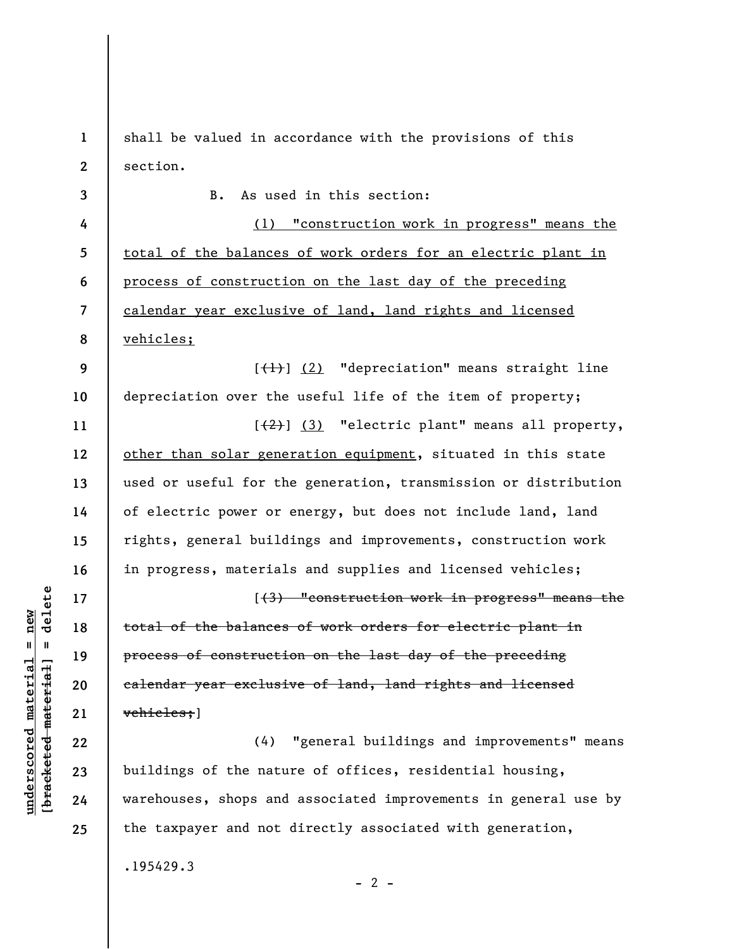**1 2**  shall be valued in accordance with the provisions of this section.

**3 4 5 6 7 8 9 10 11 12 13 14 15 16 17 18 19 20 21 22 23 24 25**  B. As used in this section: (1) "construction work in progress" means the total of the balances of work orders for an electric plant in process of construction on the last day of the preceding calendar year exclusive of land, land rights and licensed vehicles;  $[\frac{1}{1}]$  (2) "depreciation" means straight line depreciation over the useful life of the item of property;  $[\frac{1}{2}]$  (3) "electric plant" means all property, other than solar generation equipment, situated in this state used or useful for the generation, transmission or distribution of electric power or energy, but does not include land, land rights, general buildings and improvements, construction work in progress, materials and supplies and licensed vehicles; [(3) "construction work in progress" means the total of the balances of work orders for electric plant in process of construction on the last day of the preceding calendar year exclusive of land, land rights and licensed vehicles;] (4) "general buildings and improvements" means buildings of the nature of offices, residential housing, warehouses, shops and associated improvements in general use by the taxpayer and not directly associated with generation,

.195429.3

 $\frac{1}{2}$  intereted material = delete **[bracketed material] = delete**  $underscored material = new$ **underscored material = new**

 $- 2 -$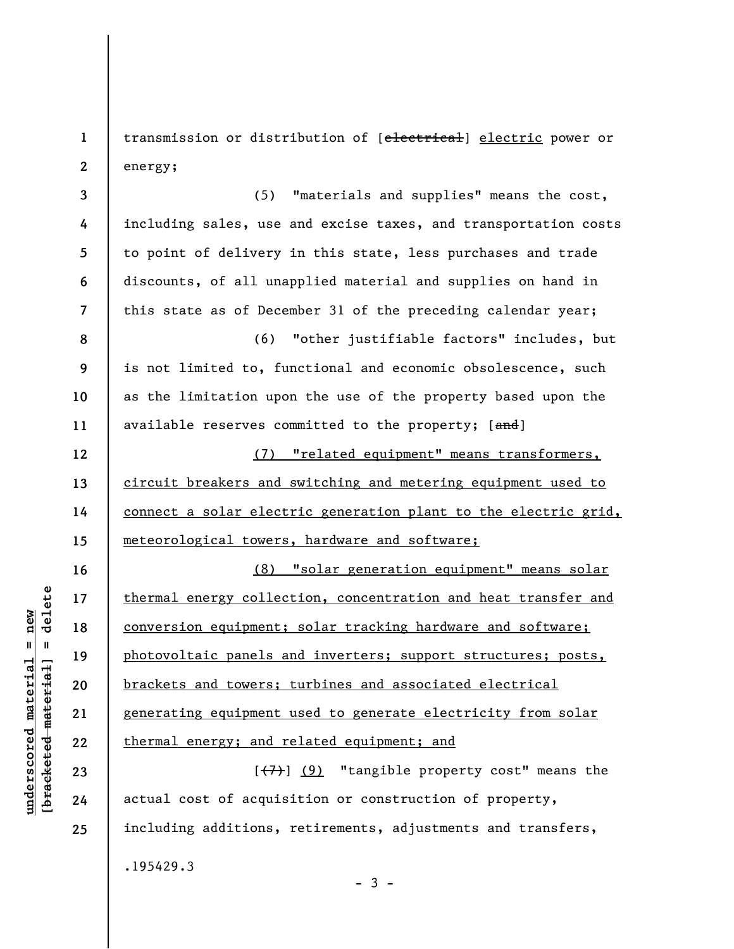**1 2**  transmission or distribution of [electrical] electric power or energy;

**3 4 5 6 7 8 9 10 11 12 13 14 15 16 17 18 19 20 21 22 23 24**  (5) "materials and supplies" means the cost, including sales, use and excise taxes, and transportation costs to point of delivery in this state, less purchases and trade discounts, of all unapplied material and supplies on hand in this state as of December 31 of the preceding calendar year; (6) "other justifiable factors" includes, but is not limited to, functional and economic obsolescence, such as the limitation upon the use of the property based upon the available reserves committed to the property; [and] (7) "related equipment" means transformers, circuit breakers and switching and metering equipment used to connect a solar electric generation plant to the electric grid, meteorological towers, hardware and software; (8) "solar generation equipment" means solar thermal energy collection, concentration and heat transfer and conversion equipment; solar tracking hardware and software; photovoltaic panels and inverters; support structures; posts, brackets and towers; turbines and associated electrical generating equipment used to generate electricity from solar thermal energy; and related equipment; and  $[\overline{(7)}]$  (9) "tangible property cost" means the actual cost of acquisition or construction of property,

including additions, retirements, adjustments and transfers,

 $-3 -$ 

.195429.3

 $\frac{1}{2}$  intereted material = delete **[bracketed material] = delete**  $underscored material = new$ **underscored material = new**

**25**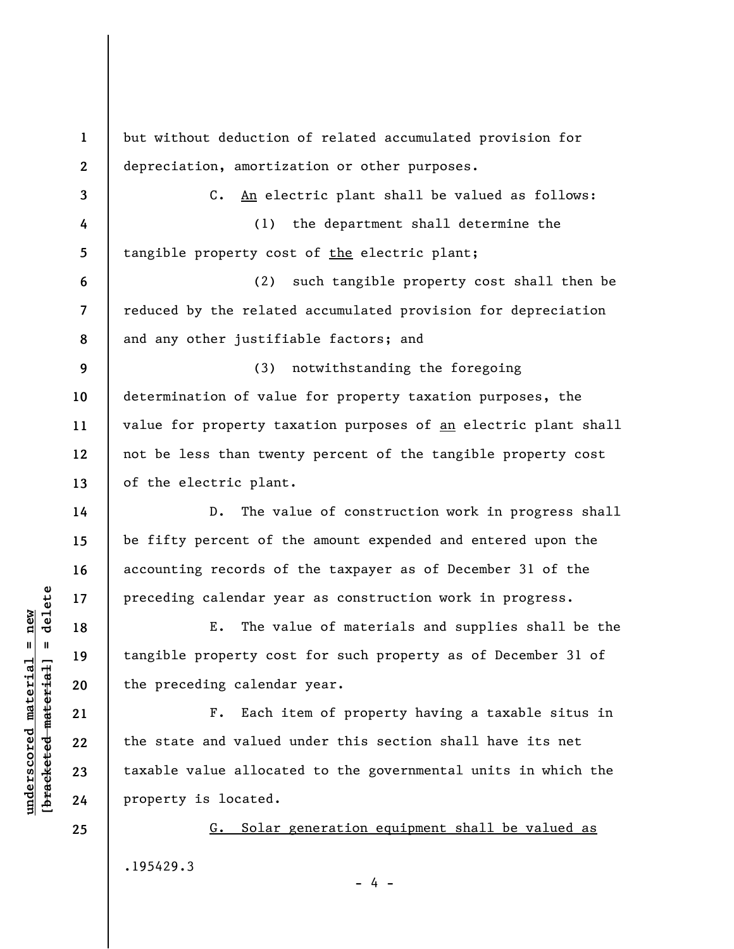**1 2 3 4 5 6 7 8 9 10 11 12 13 14 15 16 17 18 19 20 21 22 23 24 25**  but without deduction of related accumulated provision for depreciation, amortization or other purposes. C. An electric plant shall be valued as follows: (1) the department shall determine the tangible property cost of the electric plant; (2) such tangible property cost shall then be reduced by the related accumulated provision for depreciation and any other justifiable factors; and (3) notwithstanding the foregoing determination of value for property taxation purposes, the value for property taxation purposes of an electric plant shall not be less than twenty percent of the tangible property cost of the electric plant. D. The value of construction work in progress shall be fifty percent of the amount expended and entered upon the accounting records of the taxpayer as of December 31 of the preceding calendar year as construction work in progress. E. The value of materials and supplies shall be the tangible property cost for such property as of December 31 of the preceding calendar year. F. Each item of property having a taxable situs in the state and valued under this section shall have its net taxable value allocated to the governmental units in which the property is located. G. Solar generation equipment shall be valued as

.195429.3

- 4 -

 $\frac{1}{2}$  intereted material = delete **[bracketed material] = delete**  $underscored material = new$ **underscored material = new**